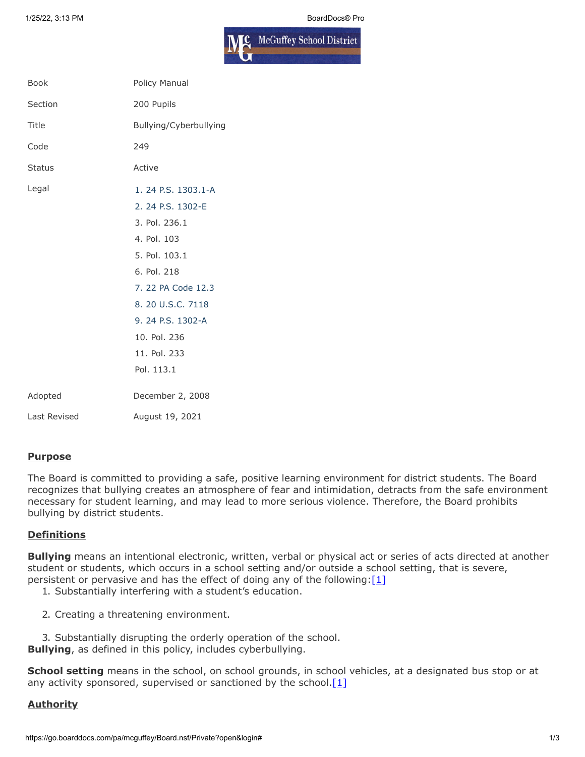

| <b>Book</b>   | Policy Manual          |
|---------------|------------------------|
| Section       | 200 Pupils             |
| Title         | Bullying/Cyberbullying |
| Code          | 249                    |
| <b>Status</b> | Active                 |
| Legal         | 1.24 P.S. 1303.1-A     |
|               | 2. 24 P.S. 1302-E      |
|               | 3. Pol. 236.1          |
|               | 4. Pol. 103            |
|               | 5. Pol. 103.1          |
|               | 6. Pol. 218            |
|               | 7. 22 PA Code 12.3     |
|               | 8. 20 U.S.C. 7118      |
|               | 9. 24 P.S. 1302-A      |
|               | 10. Pol. 236           |
|               | 11. Pol. 233           |
|               | Pol. 113.1             |
| Adopted       | December 2, 2008       |
| Last Revised  | August 19, 2021        |

#### **Purpose**

The Board is committed to providing a safe, positive learning environment for district students. The Board recognizes that bullying creates an atmosphere of fear and intimidation, detracts from the safe environment necessary for student learning, and may lead to more serious violence. Therefore, the Board prohibits bullying by district students.

# **Definitions**

**Bullying** means an intentional electronic, written, verbal or physical act or series of acts directed at another student or students, which occurs in a school setting and/or outside a school setting, that is severe, persistent or pervasive and has the effect of doing any of the following[:\[1\]](http://www.legis.state.pa.us/cfdocs/legis/LI/uconsCheck.cfm?txtType=HTM&yr=1949&sessInd=0&smthLwInd=0&act=14&chpt=13A&sctn=3&subsctn=1)

- 1. Substantially interfering with a student's education.
- 2. Creating a threatening environment.
- 3. Substantially disrupting the orderly operation of the school.

**Bullying**, as defined in this policy, includes cyberbullying.

**School setting** means in the school, on school grounds, in school vehicles, at a designated bus stop or at any activity sponsored, supervised or sanctioned by the school. $[1]$ 

# **Authority**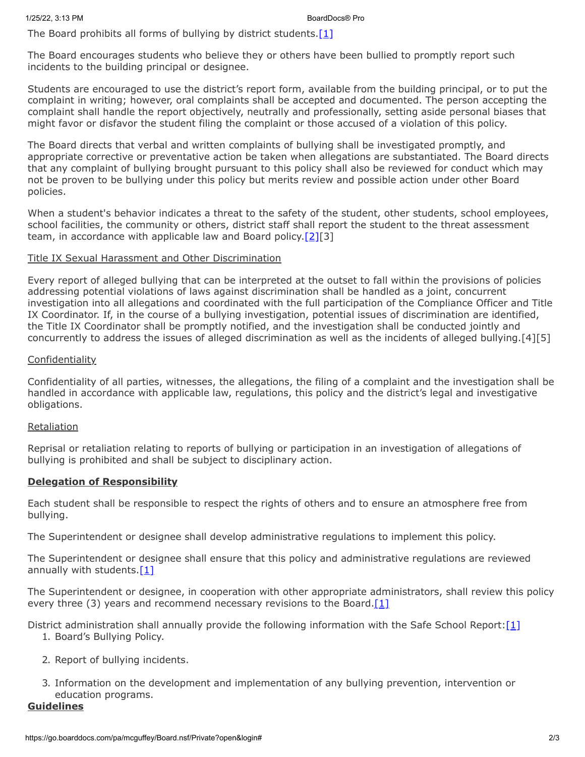The Board prohibits all forms of bullying by district students.[\[1\]](http://www.legis.state.pa.us/cfdocs/legis/LI/uconsCheck.cfm?txtType=HTM&yr=1949&sessInd=0&smthLwInd=0&act=14&chpt=13A&sctn=3&subsctn=1)

The Board encourages students who believe they or others have been bullied to promptly report such incidents to the building principal or designee.

Students are encouraged to use the district's report form, available from the building principal, or to put the complaint in writing; however, oral complaints shall be accepted and documented. The person accepting the complaint shall handle the report objectively, neutrally and professionally, setting aside personal biases that might favor or disfavor the student filing the complaint or those accused of a violation of this policy.

The Board directs that verbal and written complaints of bullying shall be investigated promptly, and appropriate corrective or preventative action be taken when allegations are substantiated. The Board directs that any complaint of bullying brought pursuant to this policy shall also be reviewed for conduct which may not be proven to be bullying under this policy but merits review and possible action under other Board policies.

When a student's behavior indicates a threat to the safety of the student, other students, school employees, school facilities, the community or others, district staff shall report the student to the threat assessment team, in accordance with applicable law and Board policy[.\[2\]\[](https://www.legis.state.pa.us/cfdocs/legis/LI/uconsCheck.cfm?txtType=HTM&yr=1949&sessInd=0&smthLwInd=0&act=14&chpt=13E&sctn=2&subsctn=0)3]

# Title IX Sexual Harassment and Other Discrimination

Every report of alleged bullying that can be interpreted at the outset to fall within the provisions of policies addressing potential violations of laws against discrimination shall be handled as a joint, concurrent investigation into all allegations and coordinated with the full participation of the Compliance Officer and Title IX Coordinator. If, in the course of a bullying investigation, potential issues of discrimination are identified, the Title IX Coordinator shall be promptly notified, and the investigation shall be conducted jointly and concurrently to address the issues of alleged discrimination as well as the incidents of alleged bullying.[4][5]

# Confidentiality

Confidentiality of all parties, witnesses, the allegations, the filing of a complaint and the investigation shall be handled in accordance with applicable law, regulations, this policy and the district's legal and investigative obligations.

# Retaliation

Reprisal or retaliation relating to reports of bullying or participation in an investigation of allegations of bullying is prohibited and shall be subject to disciplinary action.

# **Delegation of Responsibility**

Each student shall be responsible to respect the rights of others and to ensure an atmosphere free from bullying.

The Superintendent or designee shall develop administrative regulations to implement this policy.

The Superintendent or designee shall ensure that this policy and administrative regulations are reviewed annually with students[.\[1\]](http://www.legis.state.pa.us/cfdocs/legis/LI/uconsCheck.cfm?txtType=HTM&yr=1949&sessInd=0&smthLwInd=0&act=14&chpt=13A&sctn=3&subsctn=1)

The Superintendent or designee, in cooperation with other appropriate administrators, shall review this policy every three (3) years and recommend necessary revisions to the Board.[\[1\]](http://www.legis.state.pa.us/cfdocs/legis/LI/uconsCheck.cfm?txtType=HTM&yr=1949&sessInd=0&smthLwInd=0&act=14&chpt=13A&sctn=3&subsctn=1)

District administration shall annually provide the following information with the Safe School Report[:\[1\]](http://www.legis.state.pa.us/cfdocs/legis/LI/uconsCheck.cfm?txtType=HTM&yr=1949&sessInd=0&smthLwInd=0&act=14&chpt=13A&sctn=3&subsctn=1)

- 1. Board's Bullying Policy.
- 2. Report of bullying incidents.
- 3. Information on the development and implementation of any bullying prevention, intervention or education programs.

# **Guidelines**